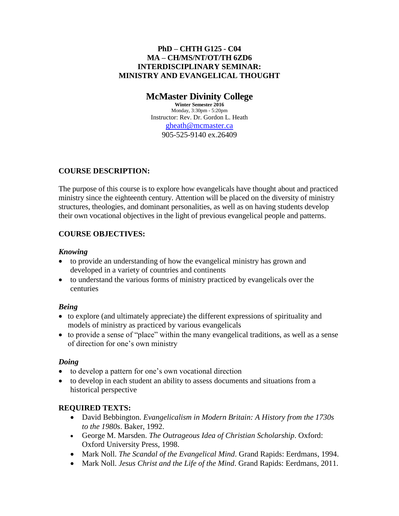#### **PhD – CHTH G125 - C04 MA – CH/MS/NT/OT/TH 6ZD6 INTERDISCIPLINARY SEMINAR: MINISTRY AND EVANGELICAL THOUGHT**

# **McMaster Divinity College**

**Winter Semester 2016** Monday, 3:30pm - 5:20pm Instructor: Rev. Dr. Gordon L. Heath [gheath@mcmaster.ca](mailto:gheath@mcmaster.ca) 905-525-9140 ex.26409

## **COURSE DESCRIPTION:**

The purpose of this course is to explore how evangelicals have thought about and practiced ministry since the eighteenth century. Attention will be placed on the diversity of ministry structures, theologies, and dominant personalities, as well as on having students develop their own vocational objectives in the light of previous evangelical people and patterns.

## **COURSE OBJECTIVES:**

## *Knowing*

- to provide an understanding of how the evangelical ministry has grown and developed in a variety of countries and continents
- to understand the various forms of ministry practiced by evangelicals over the centuries

## *Being*

- to explore (and ultimately appreciate) the different expressions of spirituality and models of ministry as practiced by various evangelicals
- to provide a sense of "place" within the many evangelical traditions, as well as a sense of direction for one's own ministry

## *Doing*

- to develop a pattern for one's own vocational direction
- to develop in each student an ability to assess documents and situations from a historical perspective

## **REQUIRED TEXTS:**

- David Bebbington. *Evangelicalism in Modern Britain: A History from the 1730s to the 1980s*. Baker, 1992.
- George M. Marsden. *The Outrageous Idea of Christian Scholarship*. Oxford: Oxford University Press, 1998.
- Mark Noll. *The Scandal of the Evangelical Mind*. Grand Rapids: Eerdmans, 1994.
- Mark Noll. *Jesus Christ and the Life of the Mind*. Grand Rapids: Eerdmans, 2011.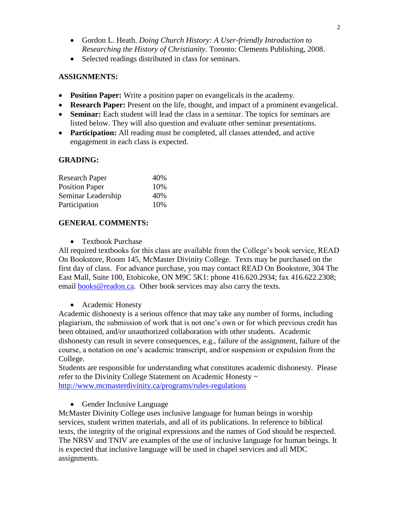- Gordon L. Heath. *Doing Church History: A User-friendly Introduction to Researching the History of Christianity*. Toronto: Clements Publishing, 2008.
- Selected readings distributed in class for seminars.

#### **ASSIGNMENTS:**

- **Position Paper:** Write a position paper on evangelicals in the academy.
- **Research Paper:** Present on the life, thought, and impact of a prominent evangelical.
- **Seminar:** Each student will lead the class in a seminar. The topics for seminars are listed below. They will also question and evaluate other seminar presentations.
- **Participation:** All reading must be completed, all classes attended, and active engagement in each class is expected.

#### **GRADING:**

| <b>Research Paper</b> | 40% |
|-----------------------|-----|
| <b>Position Paper</b> | 10% |
| Seminar Leadership    | 40% |
| Participation         | 10% |

#### **GENERAL COMMENTS:**

• Textbook Purchase

All required textbooks for this class are available from the College's book service, READ On Bookstore, Room 145, McMaster Divinity College. Texts may be purchased on the first day of class. For advance purchase, you may contact READ On Bookstore, 304 The East Mall, Suite 100, Etobicoke, ON M9C 5K1: phone 416.620.2934; fax 416.622.2308; email [books@readon.ca.](mailto:books@readon.ca) Other book services may also carry the texts.

• Academic Honesty

Academic dishonesty is a serious offence that may take any number of forms, including plagiarism, the submission of work that is not one's own or for which previous credit has been obtained, and/or unauthorized collaboration with other students. Academic dishonesty can result in severe consequences, e.g., failure of the assignment, failure of the course, a notation on one's academic transcript, and/or suspension or expulsion from the College.

Students are responsible for understanding what constitutes academic dishonesty. Please refer to the Divinity College Statement on Academic Honesty ~ <http://www.mcmasterdivinity.ca/programs/rules-regulations>

• Gender Inclusive Language

McMaster Divinity College uses inclusive language for human beings in worship services, student written materials, and all of its publications. In reference to biblical texts, the integrity of the original expressions and the names of God should be respected. The NRSV and TNIV are examples of the use of inclusive language for human beings. It is expected that inclusive language will be used in chapel services and all MDC assignments.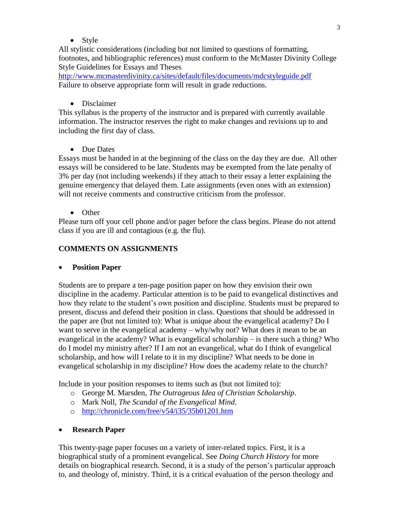• Style

All stylistic considerations (including but not limited to questions of formatting, footnotes, and bibliographic references) must conform to the McMaster Divinity College Style Guidelines for Essays and Theses

[http://www.mcmasterdivinity.ca/sites/default/files/documents/mdcstyleguide.pdf](http://www.mcmasterdivinity.ca/sites/default/files/documents/MDCStyleGuide.pdf) Failure to observe appropriate form will result in grade reductions.

• Disclaimer

This syllabus is the property of the instructor and is prepared with currently available information. The instructor reserves the right to make changes and revisions up to and including the first day of class.

• Due Dates

Essays must be handed in at the beginning of the class on the day they are due. All other essays will be considered to be late. Students may be exempted from the late penalty of 3% per day (not including weekends) if they attach to their essay a letter explaining the genuine emergency that delayed them. Late assignments (even ones with an extension) will not receive comments and constructive criticism from the professor.

• Other

Please turn off your cell phone and/or pager before the class begins. Please do not attend class if you are ill and contagious (e.g. the flu).

## **COMMENTS ON ASSIGNMENTS**

## **Position Paper**

Students are to prepare a ten-page position paper on how they envision their own discipline in the academy. Particular attention is to be paid to evangelical distinctives and how they relate to the student's own position and discipline. Students must be prepared to present, discuss and defend their position in class. Questions that should be addressed in the paper are (but not limited to): What is unique about the evangelical academy? Do I want to serve in the evangelical academy – why/why not? What does it mean to be an evangelical in the academy? What is evangelical scholarship – is there such a thing? Who do I model my ministry after? If I am not an evangelical, what do I think of evangelical scholarship, and how will I relate to it in my discipline? What needs to be done in evangelical scholarship in my discipline? How does the academy relate to the church?

Include in your position responses to items such as (but not limited to):

- o George M. Marsden, *The Outrageous Idea of Christian Scholarship*.
- o Mark Noll, *The Scandal of the Evangelical Mind*.
- o <http://chronicle.com/free/v54/i35/35b01201.htm>

## **Research Paper**

This twenty-page paper focuses on a variety of inter-related topics. First, it is a biographical study of a prominent evangelical. See *Doing Church History* for more details on biographical research. Second, it is a study of the person's particular approach to, and theology of, ministry. Third, it is a critical evaluation of the person theology and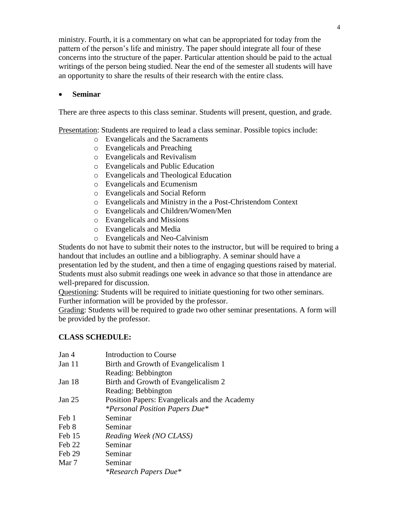ministry. Fourth, it is a commentary on what can be appropriated for today from the pattern of the person's life and ministry. The paper should integrate all four of these concerns into the structure of the paper. Particular attention should be paid to the actual writings of the person being studied. Near the end of the semester all students will have an opportunity to share the results of their research with the entire class.

#### **Seminar**

There are three aspects to this class seminar. Students will present, question, and grade.

Presentation: Students are required to lead a class seminar. Possible topics include:

- o Evangelicals and the Sacraments
- o Evangelicals and Preaching
- o Evangelicals and Revivalism
- o Evangelicals and Public Education
- o Evangelicals and Theological Education
- o Evangelicals and Ecumenism
- o Evangelicals and Social Reform
- o Evangelicals and Ministry in the a Post-Christendom Context
- o Evangelicals and Children/Women/Men
- o Evangelicals and Missions
- o Evangelicals and Media
- o Evangelicals and Neo-Calvinism

Students do not have to submit their notes to the instructor, but will be required to bring a handout that includes an outline and a bibliography. A seminar should have a presentation led by the student, and then a time of engaging questions raised by material. Students must also submit readings one week in advance so that those in attendance are well-prepared for discussion.

Questioning: Students will be required to initiate questioning for two other seminars. Further information will be provided by the professor.

Grading: Students will be required to grade two other seminar presentations. A form will be provided by the professor.

## **CLASS SCHEDULE:**

| Jan 4    | Introduction to Course                        |
|----------|-----------------------------------------------|
| Jan 11   | Birth and Growth of Evangelicalism 1          |
|          | Reading: Bebbington                           |
| Jan $18$ | Birth and Growth of Evangelicalism 2          |
|          | Reading: Bebbington                           |
| Jan 25   | Position Papers: Evangelicals and the Academy |
|          | <i>*Personal Position Papers Due*</i>         |
| Feb 1    | Seminar                                       |
| Feb 8    | Seminar                                       |
| Feb 15   | Reading Week (NO CLASS)                       |
| Feb 22   | Seminar                                       |
| Feb 29   | Seminar                                       |
| Mar 7    | Seminar                                       |
|          | <i>*Research Papers Due*</i>                  |